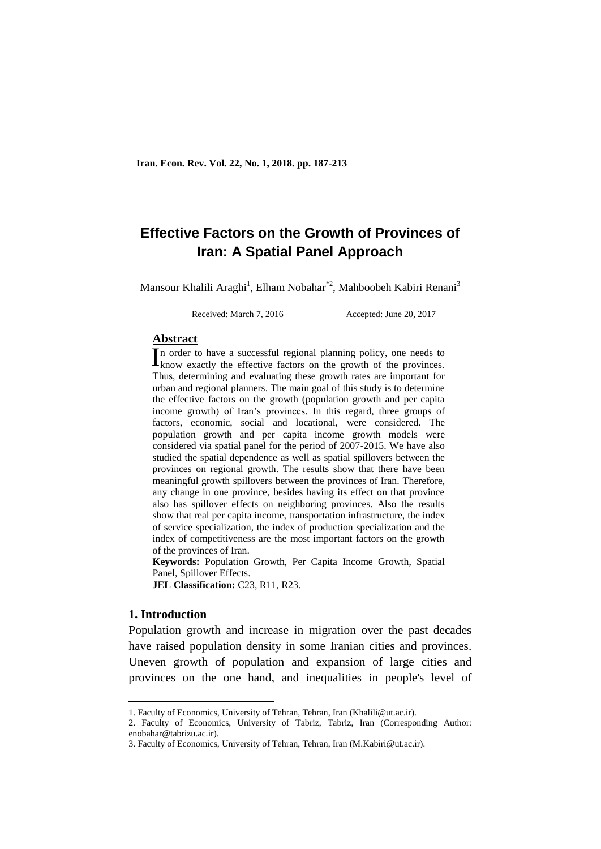# **Effective Factors on the Growth of Provinces of Iran: A Spatial Panel Approach**

Mansour Khalili Araghi<sup>1</sup>, Elham Nobahar<sup>\*2</sup>, Mahboobeh Kabiri Renani<sup>3</sup>

Received: March 7, 2016 Accepted: June 20, 2017

#### **Abstract**

n order to have a successful regional planning policy, one needs to In order to have a successful regional planning policy, one needs to know exactly the effective factors on the growth of the provinces. Thus, determining and evaluating these growth rates are important for urban and regional planners. The main goal of this study is to determine the effective factors on the growth (population growth and per capita income growth) of Iran's provinces. In this regard, three groups of factors, economic, social and locational, were considered. The population growth and per capita income growth models were considered via spatial panel for the period of 2007-2015. We have also studied the spatial dependence as well as spatial spillovers between the provinces on regional growth. The results show that there have been meaningful growth spillovers between the provinces of Iran. Therefore, any change in one province, besides having its effect on that province also has spillover effects on neighboring provinces. Also the results show that real per capita income, transportation infrastructure, the index of service specialization, the index of production specialization and the index of competitiveness are the most important factors on the growth of the provinces of Iran.

**Keywords:** Population Growth, Per Capita Income Growth, Spatial Panel, Spillover Effects.

**JEL Classification:** C23, R11, R23.

# **1. Introduction**

1

Population growth and increase in migration over the past decades have raised population density in some Iranian cities and provinces. Uneven growth of population and expansion of large cities and provinces on the one hand, and inequalities in people's level of

<sup>1.</sup> Faculty of Economics, University of Tehran, Tehran, Iran (Khalili@ut.ac.ir).

<sup>2.</sup> Faculty of Economics, University of Tabriz, Tabriz, Iran (Corresponding Author: enobahar@tabrizu.ac.ir).

<sup>3.</sup> Faculty of Economics, University of Tehran, Tehran, Iran (M.Kabiri@ut.ac.ir).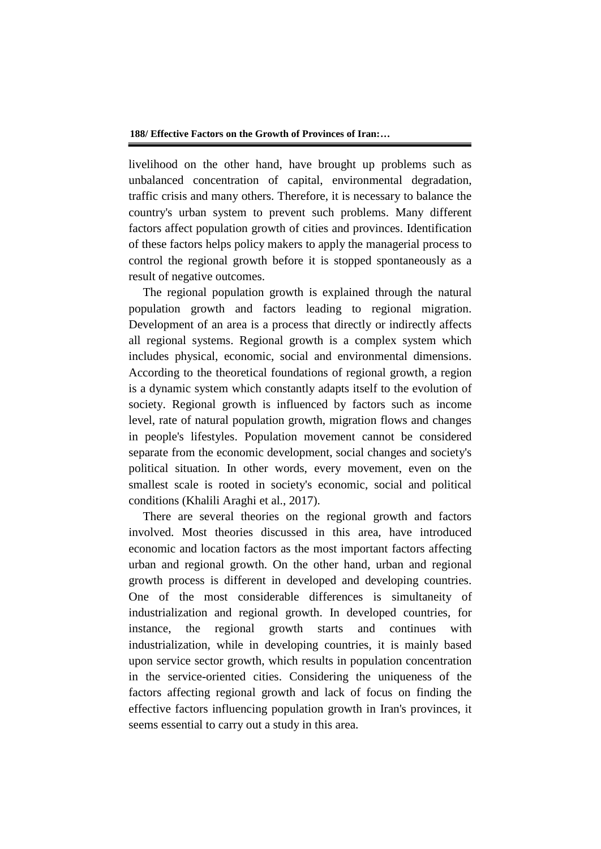livelihood on the other hand, have brought up problems such as unbalanced concentration of capital, environmental degradation, traffic crisis and many others. Therefore, it is necessary to balance the country's urban system to prevent such problems. Many different factors affect population growth of cities and provinces. Identification of these factors helps policy makers to apply the managerial process to control the regional growth before it is stopped spontaneously as a result of negative outcomes.

The regional population growth is explained through the natural population growth and factors leading to regional migration. Development of an area is a process that directly or indirectly affects all regional systems. Regional growth is a complex system which includes physical, economic, social and environmental dimensions. According to the theoretical foundations of regional growth, a region is a dynamic system which constantly adapts itself to the evolution of society. Regional growth is influenced by factors such as income level, rate of natural population growth, migration flows and changes in people's lifestyles. Population movement cannot be considered separate from the economic development, social changes and society's political situation. In other words, every movement, even on the smallest scale is rooted in society's economic, social and political conditions (Khalili Araghi et al., 2017).

There are several theories on the regional growth and factors involved. Most theories discussed in this area, have introduced economic and location factors as the most important factors affecting urban and regional growth. On the other hand, urban and regional growth process is different in developed and developing countries. One of the most considerable differences is simultaneity of industrialization and regional growth. In developed countries, for instance, the regional growth starts and continues with industrialization, while in developing countries, it is mainly based upon service sector growth, which results in population concentration in the service-oriented cities. Considering the uniqueness of the factors affecting regional growth and lack of focus on finding the effective factors influencing population growth in Iran's provinces, it seems essential to carry out a study in this area.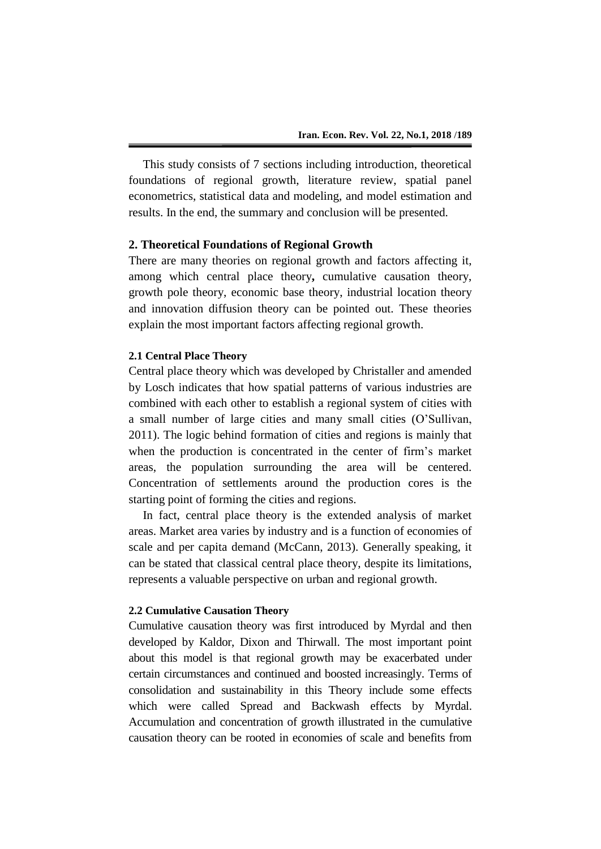This study consists of 7 sections including introduction, theoretical foundations of regional growth, literature review, spatial panel econometrics, statistical data and modeling, and model estimation and results. In the end, the summary and conclusion will be presented.

# **2. Theoretical Foundations of Regional Growth**

There are many theories on regional growth and factors affecting it, among which central place theory**,** cumulative causation theory, growth pole theory, economic base theory, industrial location theory and innovation diffusion theory can be pointed out. These theories explain the most important factors affecting regional growth.

# **2.1 Central Place Theory**

Central place theory which was developed by Christaller and amended by Losch indicates that how spatial patterns of various industries are combined with each other to establish a regional system of cities with a small number of large cities and many small cities (O'Sullivan, 2011). The logic behind formation of cities and regions is mainly that when the production is concentrated in the center of firm's market areas, the population surrounding the area will be centered. Concentration of settlements around the production cores is the starting point of forming the cities and regions.

In fact, central place theory is the extended analysis of market areas. Market area varies by industry and is a function of economies of scale and per capita demand (McCann, 2013). Generally speaking, it can be stated that classical central place theory, despite its limitations, represents a valuable perspective on urban and regional growth.

#### **2.2 Cumulative Causation Theory**

Cumulative causation theory was first introduced by Myrdal and then developed by Kaldor, Dixon and Thirwall. The most important point about this model is that regional growth may be exacerbated under certain circumstances and continued and boosted increasingly. Terms of consolidation and sustainability in this Theory include some effects which were called Spread and Backwash effects by Myrdal. Accumulation and concentration of growth illustrated in the cumulative causation theory can be rooted in economies of scale and benefits from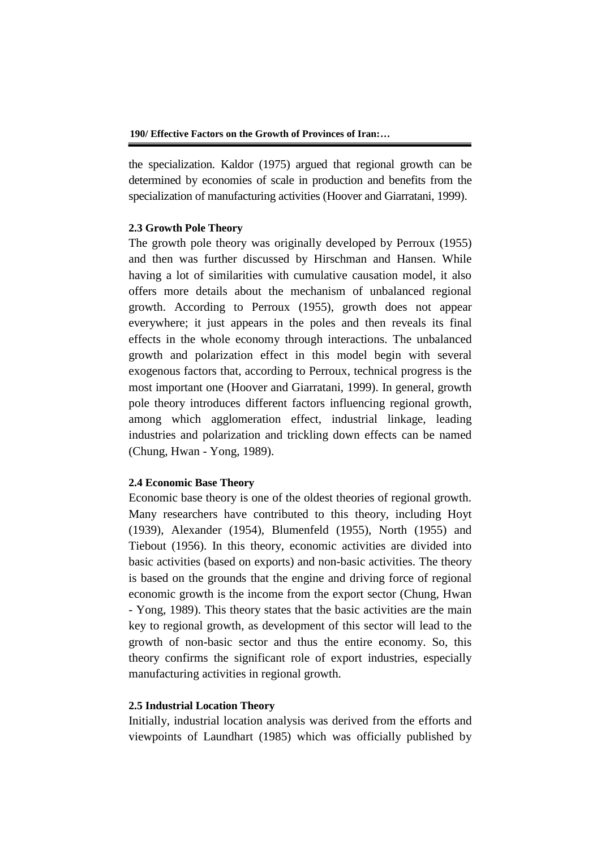the specialization. Kaldor (1975) argued that regional growth can be determined by economies of scale in production and benefits from the specialization of manufacturing activities (Hoover and Giarratani, 1999).

## **2.3 Growth Pole Theory**

The growth pole theory was originally developed by Perroux (1955) and then was further discussed by Hirschman and Hansen. While having a lot of similarities with cumulative causation model, it also offers more details about the mechanism of unbalanced regional growth. According to Perroux (1955), growth does not appear everywhere; it just appears in the poles and then reveals its final effects in the whole economy through interactions. The unbalanced growth and polarization effect in this model begin with several exogenous factors that, according to Perroux, technical progress is the most important one (Hoover and Giarratani, 1999). In general, growth pole theory introduces different factors influencing regional growth, among which agglomeration effect, industrial linkage, leading industries and polarization and trickling down effects can be named (Chung, Hwan - Yong, 1989).

# **2.4 Economic Base Theory**

Economic base theory is one of the oldest theories of regional growth. Many researchers have contributed to this theory, including Hoyt (1939), Alexander (1954), Blumenfeld (1955), North (1955) and Tiebout (1956). In this theory, economic activities are divided into basic activities (based on exports) and non-basic activities. The theory is based on the grounds that the engine and driving force of regional economic growth is the income from the export sector (Chung, Hwan - Yong, 1989). This theory states that the basic activities are the main key to regional growth, as development of this sector will lead to the growth of non-basic sector and thus the entire economy. So, this theory confirms the significant role of export industries, especially manufacturing activities in regional growth.

# **2.5 Industrial Location Theory**

Initially, industrial location analysis was derived from the efforts and viewpoints of Laundhart (1985) which was officially published by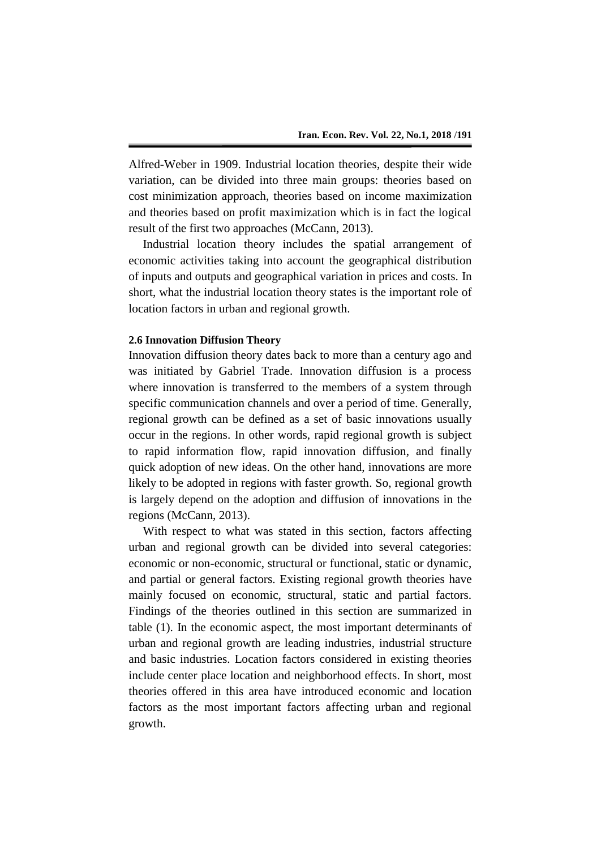Alfred-Weber in 1909. Industrial location theories, despite their wide variation, can be divided into three main groups: theories based on cost minimization approach, theories based on income maximization and theories based on profit maximization which is in fact the logical result of the first two approaches (McCann, 2013).

Industrial location theory includes the spatial arrangement of economic activities taking into account the geographical distribution of inputs and outputs and geographical variation in prices and costs. In short, what the industrial location theory states is the important role of location factors in urban and regional growth.

#### **2.6 Innovation Diffusion Theory**

Innovation diffusion theory dates back to more than a century ago and was initiated by Gabriel Trade. Innovation diffusion is a process where innovation is transferred to the members of a system through specific communication channels and over a period of time. Generally, regional growth can be defined as a set of basic innovations usually occur in the regions. In other words, rapid regional growth is subject to rapid information flow, rapid innovation diffusion, and finally quick adoption of new ideas. On the other hand, innovations are more likely to be adopted in regions with faster growth. So, regional growth is largely depend on the adoption and diffusion of innovations in the regions (McCann, 2013).

With respect to what was stated in this section, factors affecting urban and regional growth can be divided into several categories: economic or non-economic, structural or functional, static or dynamic, and partial or general factors. Existing regional growth theories have mainly focused on economic, structural, static and partial factors. Findings of the theories outlined in this section are summarized in table (1). In the economic aspect, the most important determinants of urban and regional growth are leading industries, industrial structure and basic industries. Location factors considered in existing theories include center place location and neighborhood effects. In short, most theories offered in this area have introduced economic and location factors as the most important factors affecting urban and regional growth.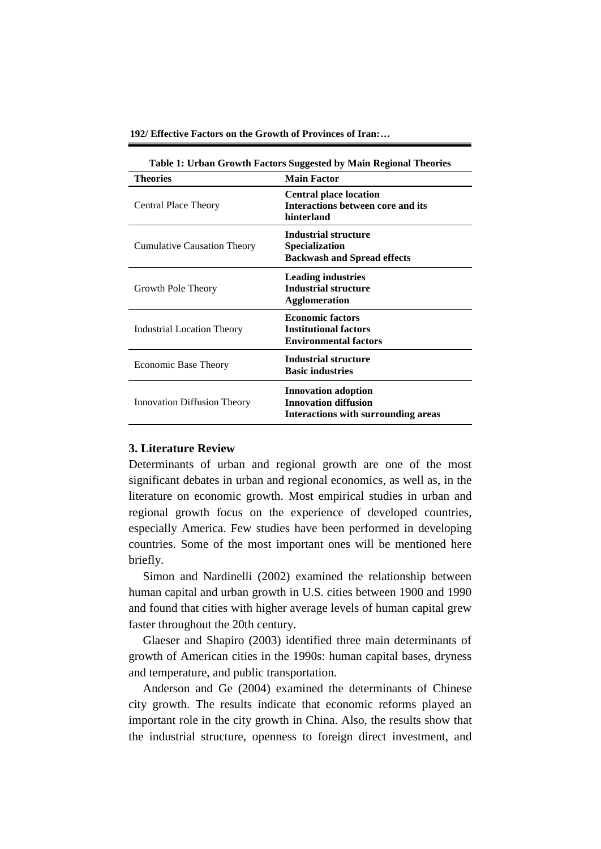**192/ Effective Factors on the Growth of Provinces of Iran:…**

| Table 1: Urban Growth Factors Suggested by Main Regional Theories |                                                                                                  |  |  |
|-------------------------------------------------------------------|--------------------------------------------------------------------------------------------------|--|--|
| <b>Theories</b><br><b>Main Factor</b>                             |                                                                                                  |  |  |
| Central Place Theory                                              | <b>Central place location</b><br>Interactions between core and its<br>hinterland                 |  |  |
| <b>Cumulative Causation Theory</b>                                | Industrial structure<br>Specialization<br><b>Backwash and Spread effects</b>                     |  |  |
| Growth Pole Theory                                                | <b>Leading industries</b><br><b>Industrial structure</b><br><b>Agglomeration</b>                 |  |  |
| Industrial Location Theory                                        | <b>Economic factors</b><br><b>Institutional factors</b><br><b>Environmental factors</b>          |  |  |
| <b>Economic Base Theory</b>                                       | <b>Industrial structure</b><br><b>Basic industries</b>                                           |  |  |
| Innovation Diffusion Theory                                       | <b>Innovation adoption</b><br><b>Innovation diffusion</b><br>Interactions with surrounding areas |  |  |

# **3. Literature Review**

Determinants of urban and regional growth are one of the most significant debates in urban and regional economics, as well as, in the literature on economic growth. Most empirical studies in urban and regional growth focus on the experience of developed countries, especially America. Few studies have been performed in developing countries. Some of the most important ones will be mentioned here briefly.

Simon and Nardinelli (2002) examined the relationship between human capital and urban growth in U.S. cities between 1900 and 1990 and found that cities with higher average levels of human capital grew faster throughout the 20th century.

Glaeser and Shapiro (2003) identified three main determinants of growth of American cities in the 1990s: human capital bases, dryness and temperature, and public transportation.

Anderson and Ge (2004) examined the determinants of Chinese city growth. The results indicate that economic reforms played an important role in the city growth in China. Also, the results show that the industrial structure, openness to foreign direct investment, and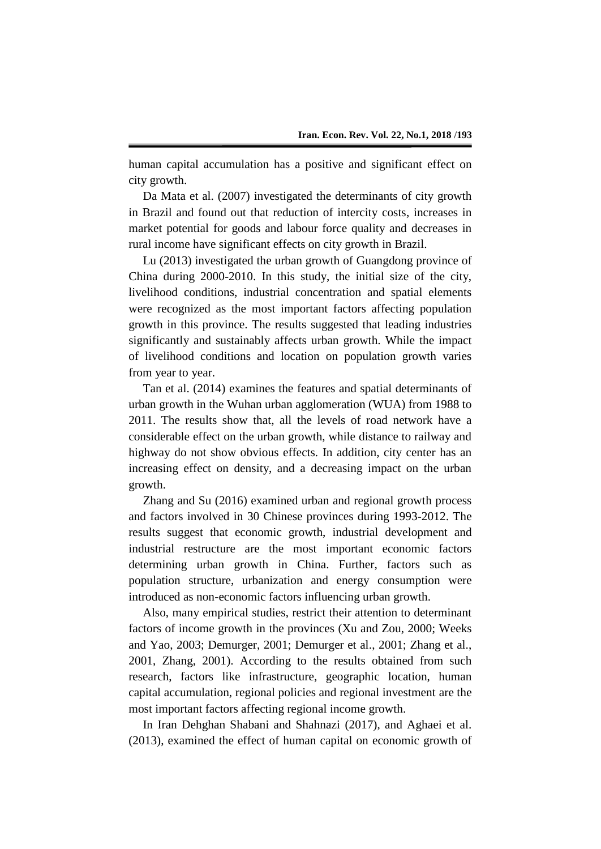human capital accumulation has a positive and significant effect on city growth.

Da Mata et al. (2007) investigated the determinants of city growth in Brazil and found out that reduction of intercity costs, increases in market potential for goods and labour force quality and decreases in rural income have significant effects on city growth in Brazil.

Lu (2013) investigated the urban growth of Guangdong province of China during 2000-2010. In this study, the initial size of the city, livelihood conditions, industrial concentration and spatial elements were recognized as the most important factors affecting population growth in this province. The results suggested that leading industries significantly and sustainably affects urban growth. While the impact of livelihood conditions and location on population growth varies from year to year.

Tan et al. (2014) examines the features and spatial determinants of urban growth in the Wuhan urban agglomeration (WUA) from 1988 to 2011. The results show that, all the levels of road network have a considerable effect on the urban growth, while distance to railway and highway do not show obvious effects. In addition, city center has an increasing effect on density, and a decreasing impact on the urban growth.

Zhang and Su (2016) examined urban and regional growth process and factors involved in 30 Chinese provinces during 1993-2012. The results suggest that economic growth, industrial development and industrial restructure are the most important economic factors determining urban growth in China. Further, factors such as population structure, urbanization and energy consumption were introduced as non-economic factors influencing urban growth.

Also, many empirical studies, restrict their attention to determinant factors of income growth in the provinces (Xu and Zou, 2000; Weeks and Yao, 2003; Demurger, 2001; Demurger et al., 2001; Zhang et al., 2001, Zhang, 2001). According to the results obtained from such research, factors like infrastructure, geographic location, human capital accumulation, regional policies and regional investment are the most important factors affecting regional income growth.

In Iran Dehghan Shabani and Shahnazi (2017), and Aghaei et al. (2013), examined the effect of human capital on economic growth of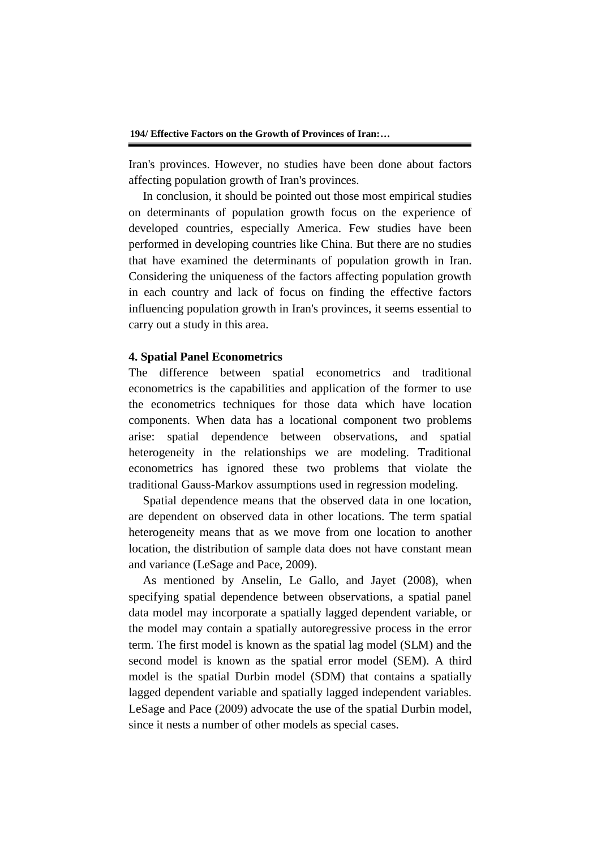Iran's provinces. However, no studies have been done about factors affecting population growth of Iran's provinces.

In conclusion, it should be pointed out those most empirical studies on determinants of population growth focus on the experience of developed countries, especially America. Few studies have been performed in developing countries like China. But there are no studies that have examined the determinants of population growth in Iran. Considering the uniqueness of the factors affecting population growth in each country and lack of focus on finding the effective factors influencing population growth in Iran's provinces, it seems essential to carry out a study in this area.

#### **4. Spatial Panel Econometrics**

The difference between spatial econometrics and traditional econometrics is the capabilities and application of the former to use the econometrics techniques for those data which have location components. When data has a locational component two problems arise: spatial dependence between observations, and spatial heterogeneity in the relationships we are modeling. Traditional econometrics has ignored these two problems that violate the traditional Gauss-Markov assumptions used in regression modeling.

Spatial dependence means that the observed data in one location, are dependent on observed data in other locations. The term spatial heterogeneity means that as we move from one location to another location, the distribution of sample data does not have constant mean and variance (LeSage and Pace, 2009).

As mentioned by Anselin, Le Gallo, and Jayet (2008), when specifying spatial dependence between observations, a spatial panel data model may incorporate a spatially lagged dependent variable, or the model may contain a spatially autoregressive process in the error term. The first model is known as the spatial lag model (SLM) and the second model is known as the spatial error model (SEM). A third model is the spatial Durbin model (SDM) that contains a spatially lagged dependent variable and spatially lagged independent variables. LeSage and Pace (2009) advocate the use of the spatial Durbin model, since it nests a number of other models as special cases.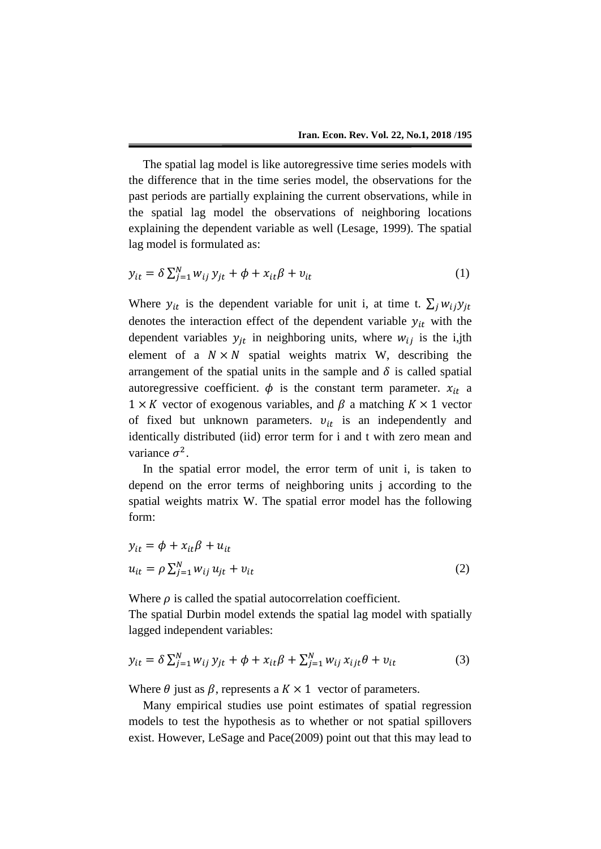The spatial lag model is like autoregressive time series models with the difference that in the time series model, the observations for the past periods are partially explaining the current observations, while in the spatial lag model the observations of neighboring locations explaining the dependent variable as well (Lesage, 1999). The spatial lag model is formulated as:

$$
y_{it} = \delta \sum_{j=1}^{N} w_{ij} y_{jt} + \phi + x_{it} \beta + v_{it}
$$
 (1)

Where  $y_{it}$  is the dependent variable for unit i, at time t.  $\sum_j w_{ij}y_{jt}$ denotes the interaction effect of the dependent variable  $y_{it}$  with the dependent variables  $y_{it}$  in neighboring units, where  $w_{ij}$  is the i,jth element of a  $N \times N$  spatial weights matrix W, describing the arrangement of the spatial units in the sample and  $\delta$  is called spatial autoregressive coefficient.  $\phi$  is the constant term parameter.  $x_{it}$  a  $1 \times K$  vector of exogenous variables, and  $\beta$  a matching  $K \times 1$  vector of fixed but unknown parameters.  $v_{it}$  is an independently and identically distributed (iid) error term for i and t with zero mean and variance  $\sigma^2$ .

In the spatial error model, the error term of unit i, is taken to depend on the error terms of neighboring units j according to the spatial weights matrix W. The spatial error model has the following form:

$$
y_{it} = \phi + x_{it}\beta + u_{it}
$$
  

$$
u_{it} = \rho \sum_{j=1}^{N} w_{ij} u_{jt} + v_{it}
$$
 (2)

Where  $\rho$  is called the spatial autocorrelation coefficient.

The spatial Durbin model extends the spatial lag model with spatially lagged independent variables:

$$
y_{it} = \delta \sum_{j=1}^{N} w_{ij} y_{jt} + \phi + x_{it} \beta + \sum_{j=1}^{N} w_{ij} x_{ijt} \theta + v_{it}
$$
(3)

Where  $\theta$  just as  $\beta$ , represents a  $K \times 1$  vector of parameters.

Many empirical studies use point estimates of spatial regression models to test the hypothesis as to whether or not spatial spillovers exist. However, LeSage and Pace(2009) point out that this may lead to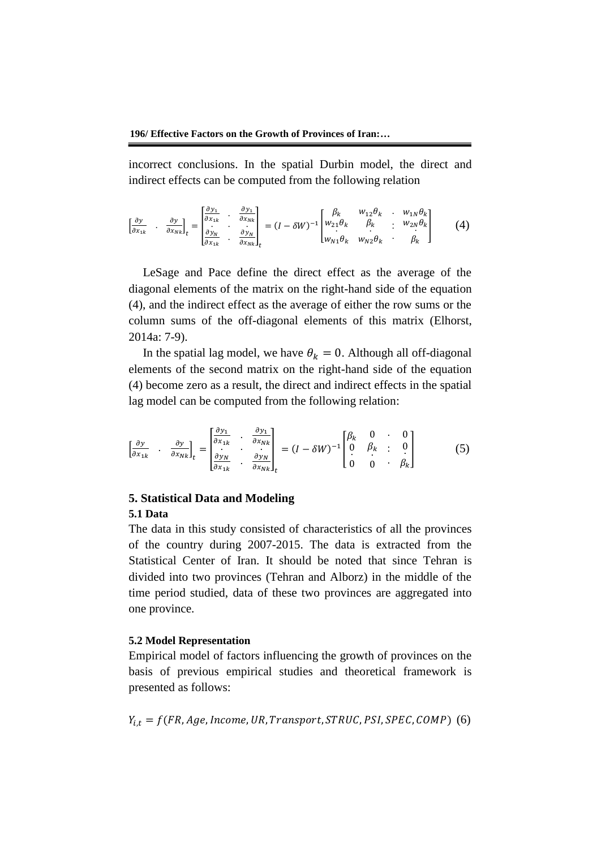incorrect conclusions. In the spatial Durbin model, the direct and indirect effects can be computed from the following relation

$$
\begin{bmatrix} \frac{\partial y}{\partial x_{1k}} & \frac{\partial y}{\partial x_{Nk}} \end{bmatrix}_t = \begin{bmatrix} \frac{\partial y_1}{\partial x_{1k}} & \frac{\partial y_1}{\partial x_{Nk}} \\ \frac{\partial y_N}{\partial x_{1k}} & \frac{\partial y_N}{\partial x_{Nk}} \end{bmatrix}_t = (I - \delta W)^{-1} \begin{bmatrix} \beta_k & w_{12} \theta_k & w_{1N} \theta_k \\ w_{21} \theta_k & \beta_k & w_{2N} \theta_k \\ w_{N1} \theta_k & w_{N2} \theta_k & \beta_k \end{bmatrix}
$$
 (4)

LeSage and Pace define the direct effect as the average of the diagonal elements of the matrix on the right-hand side of the equation (4), and the indirect effect as the average of either the row sums or the column sums of the off-diagonal elements of this matrix (Elhorst, 2014a: 7-9).

In the spatial lag model, we have  $\theta_k = 0$ . Although all off-diagonal elements of the second matrix on the right-hand side of the equation (4) become zero as a result, the direct and indirect effects in the spatial lag model can be computed from the following relation:

$$
\begin{bmatrix} \frac{\partial y}{\partial x_{1k}} & \frac{\partial y}{\partial x_{Nk}} \end{bmatrix}_t = \begin{bmatrix} \frac{\partial y_1}{\partial x_{1k}} & \frac{\partial y_1}{\partial x_{Nk}} \\ \frac{\partial y_N}{\partial x_{1k}} & \frac{\partial y_N}{\partial x_{Nk}} \end{bmatrix}_t = (I - \delta W)^{-1} \begin{bmatrix} \beta_k & 0 & 0 \\ 0 & \beta_k & 0 \\ 0 & 0 & \beta_k \end{bmatrix}
$$
(5)

# **5. Statistical Data and Modeling 5.1 Data**

The data in this study consisted of characteristics of all the provinces of the country during 2007-2015. The data is extracted from the Statistical Center of Iran. It should be noted that since Tehran is divided into two provinces (Tehran and Alborz) in the middle of the time period studied, data of these two provinces are aggregated into one province.

# **5.2 Model Representation**

Empirical model of factors influencing the growth of provinces on the basis of previous empirical studies and theoretical framework is presented as follows:

$$
Y_{i,t} = f(FR, Age, Income, UR, Transport, STRUC, PSI, SPEC, COMP)
$$
 (6)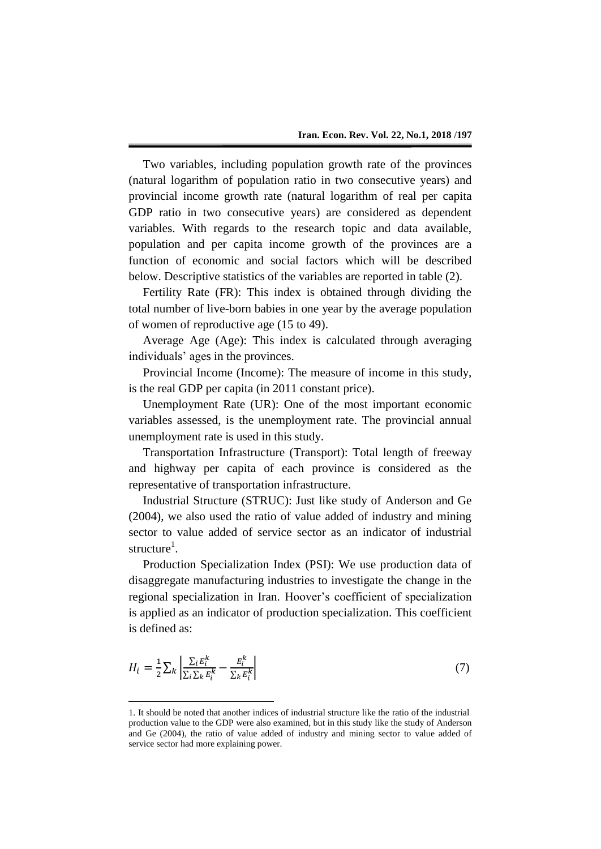Two variables, including population growth rate of the provinces (natural logarithm of population ratio in two consecutive years) and provincial income growth rate (natural logarithm of real per capita GDP ratio in two consecutive years) are considered as dependent variables. With regards to the research topic and data available, population and per capita income growth of the provinces are a function of economic and social factors which will be described below. Descriptive statistics of the variables are reported in table (2).

Fertility Rate (FR): This index is obtained through dividing the total number of live-born babies in one year by the average population of women of reproductive age (15 to 49).

Average Age (Age): This index is calculated through averaging individuals' ages in the provinces.

Provincial Income (Income): The measure of income in this study, is the real GDP per capita (in 2011 constant price).

Unemployment Rate (UR): One of the most important economic variables assessed, is the unemployment rate. The provincial annual unemployment rate is used in this study.

Transportation Infrastructure (Transport): Total length of freeway and highway per capita of each province is considered as the representative of transportation infrastructure.

Industrial Structure (STRUC): Just like study of Anderson and Ge (2004), we also used the ratio of value added of industry and mining sector to value added of service sector as an indicator of industrial structure<sup>1</sup>.

Production Specialization Index (PSI): We use production data of disaggregate manufacturing industries to investigate the change in the regional specialization in Iran. Hoover's coefficient of specialization is applied as an indicator of production specialization. This coefficient is defined as:

$$
H_i = \frac{1}{2} \sum_k \left| \frac{\sum_i E_i^k}{\sum_i \sum_k E_i^k} - \frac{E_i^k}{\sum_k E_i^k} \right| \tag{7}
$$

1

<sup>1.</sup> It should be noted that another indices of industrial structure like the ratio of the industrial production value to the GDP were also examined, but in this study like the study of Anderson and Ge (2004), the ratio of value added of industry and mining sector to value added of service sector had more explaining power.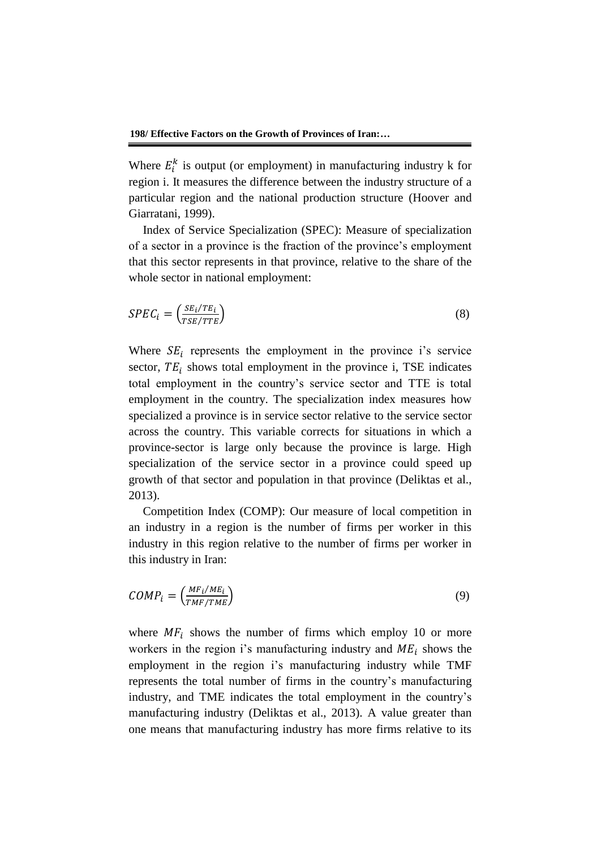Where  $E_i^k$  is output (or employment) in manufacturing industry k for region i. It measures the difference between the industry structure of a particular region and the national production structure (Hoover and Giarratani, 1999).

Index of Service Specialization (SPEC): Measure of specialization of a sector in a province is the fraction of the province's employment that this sector represents in that province, relative to the share of the whole sector in national employment:

$$
SPEC_i = \left(\frac{SE_i/TE_i}{TSE/ITE}\right) \tag{8}
$$

Where  $SE_i$  represents the employment in the province i's service sector,  $TE_i$  shows total employment in the province i, TSE indicates total employment in the country's service sector and TTE is total employment in the country. The specialization index measures how specialized a province is in service sector relative to the service sector across the country. This variable corrects for situations in which a province-sector is large only because the province is large. High specialization of the service sector in a province could speed up growth of that sector and population in that province (Deliktas et al., 2013).

Competition Index (COMP): Our measure of local competition in an industry in a region is the number of firms per worker in this industry in this region relative to the number of firms per worker in this industry in Iran:

$$
COMP_i = \left(\frac{MF_i/ME_i}{TMF/TME}\right) \tag{9}
$$

where  $MF_i$  shows the number of firms which employ 10 or more workers in the region i's manufacturing industry and  $ME_i$  shows the employment in the region i's manufacturing industry while TMF represents the total number of firms in the country's manufacturing industry, and TME indicates the total employment in the country's manufacturing industry (Deliktas et al., 2013). A value greater than one means that manufacturing industry has more firms relative to its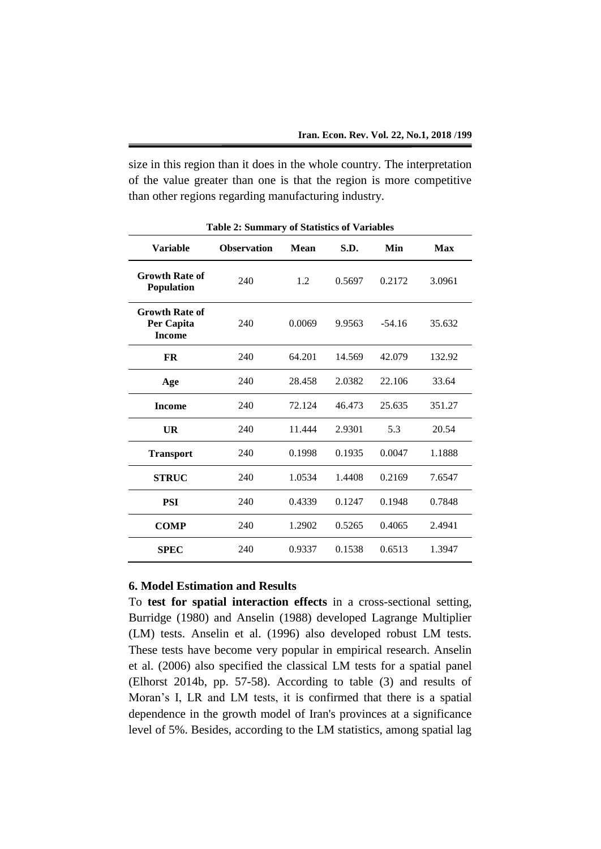size in this region than it does in the whole country. The interpretation of the value greater than one is that the region is more competitive than other regions regarding manufacturing industry.

| <b>Variable</b>                                      | <b>Observation</b> | Mean   | S.D.   | Min      | <b>Max</b> |
|------------------------------------------------------|--------------------|--------|--------|----------|------------|
| <b>Growth Rate of</b><br>Population                  | 240                | 1.2    | 0.5697 | 0.2172   | 3.0961     |
| <b>Growth Rate of</b><br>Per Capita<br><b>Income</b> | 240                | 0.0069 | 9.9563 | $-54.16$ | 35.632     |
| <b>FR</b>                                            | 240                | 64.201 | 14.569 | 42.079   | 132.92     |
| Age                                                  | 240                | 28.458 | 2.0382 | 22.106   | 33.64      |
| <b>Income</b>                                        | 240                | 72.124 | 46.473 | 25.635   | 351.27     |
| UR                                                   | 240                | 11.444 | 2.9301 | 5.3      | 20.54      |
| <b>Transport</b>                                     | 240                | 0.1998 | 0.1935 | 0.0047   | 1.1888     |
| <b>STRUC</b>                                         | 240                | 1.0534 | 1.4408 | 0.2169   | 7.6547     |
| PSI                                                  | 240                | 0.4339 | 0.1247 | 0.1948   | 0.7848     |
| <b>COMP</b>                                          | 240                | 1.2902 | 0.5265 | 0.4065   | 2.4941     |
| <b>SPEC</b>                                          | 240                | 0.9337 | 0.1538 | 0.6513   | 1.3947     |

**Table 2: Summary of Statistics of Variables**

# **6. Model Estimation and Results**

To **test for spatial interaction effects** in a cross-sectional setting, Burridge (1980) and Anselin (1988) developed Lagrange Multiplier (LM) tests. Anselin et al. (1996) also developed robust LM tests. These tests have become very popular in empirical research. Anselin et al. (2006) also specified the classical LM tests for a spatial panel (Elhorst 2014b, pp. 57-58). According to table (3) and results of Moran's I, LR and LM tests, it is confirmed that there is a spatial dependence in the growth model of Iran's provinces at a significance level of 5%. Besides, according to the LM statistics, among spatial lag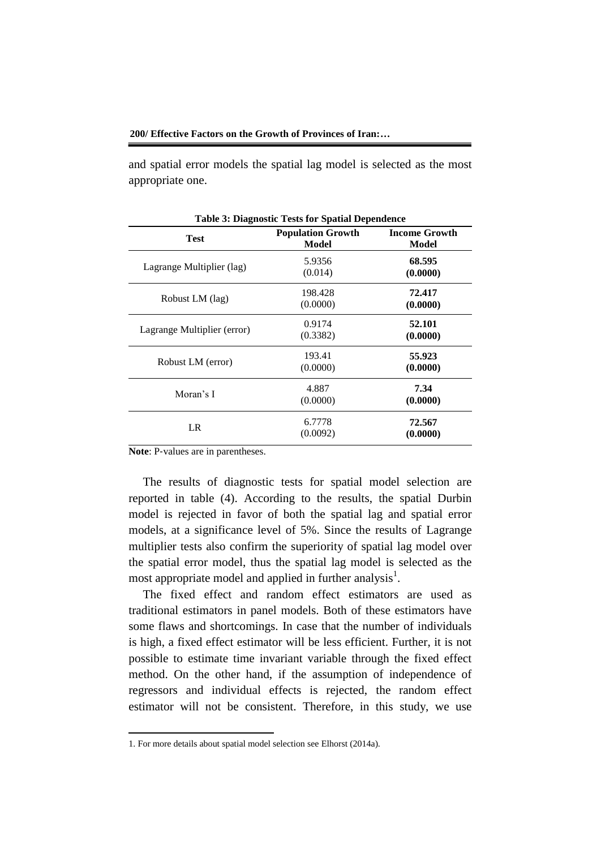#### **200/ Effective Factors on the Growth of Provinces of Iran:…**

and spatial error models the spatial lag model is selected as the most appropriate one.

| <b>Table 3: Diagnostic Tests for Spatial Dependence</b> |                                   |                               |  |  |
|---------------------------------------------------------|-----------------------------------|-------------------------------|--|--|
| <b>Test</b>                                             | <b>Population Growth</b><br>Model | <b>Income Growth</b><br>Model |  |  |
| Lagrange Multiplier (lag)                               | 5.9356<br>(0.014)                 | 68.595<br>(0.0000)            |  |  |
| Robust LM (lag)                                         | 198.428<br>(0.0000)               | 72.417<br>(0.0000)            |  |  |
| Lagrange Multiplier (error)                             | 0.9174<br>(0.3382)                | 52.101<br>(0.0000)            |  |  |
| Robust LM (error)                                       | 193.41<br>(0.0000)                | 55.923<br>(0.0000)            |  |  |
| Moran's I                                               | 4.887<br>(0.0000)                 | 7.34<br>(0.0000)              |  |  |
| LR                                                      | 6.7778<br>(0.0092)                | 72.567<br>(0.0000)            |  |  |

**Note**: P-values are in parentheses.

1

The results of diagnostic tests for spatial model selection are reported in table (4). According to the results, the spatial Durbin model is rejected in favor of both the spatial lag and spatial error models, at a significance level of 5%. Since the results of Lagrange multiplier tests also confirm the superiority of spatial lag model over the spatial error model, thus the spatial lag model is selected as the most appropriate model and applied in further analysis<sup>1</sup>.

The fixed effect and random effect estimators are used as traditional estimators in panel models. Both of these estimators have some flaws and shortcomings. In case that the number of individuals is high, a fixed effect estimator will be less efficient. Further, it is not possible to estimate time invariant variable through the fixed effect method. On the other hand, if the assumption of independence of regressors and individual effects is rejected, the random effect estimator will not be consistent. Therefore, in this study, we use

<sup>1.</sup> For more details about spatial model selection see Elhorst (2014a).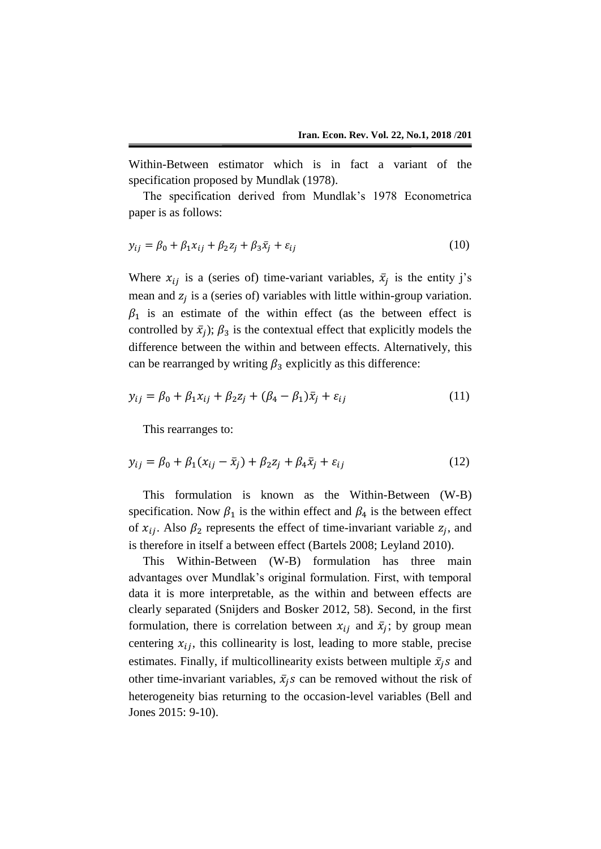Within-Between estimator which is in fact a variant of the specification proposed by Mundlak (1978).

The specification derived from Mundlak's 1978 Econometrica paper is as follows:

$$
y_{ij} = \beta_0 + \beta_1 x_{ij} + \beta_2 z_j + \beta_3 \bar{x}_j + \varepsilon_{ij}
$$
 (10)

Where  $x_{ij}$  is a (series of) time-variant variables,  $\bar{x}_j$  is the entity j's mean and  $z_j$  is a (series of) variables with little within-group variation.  $\beta_1$  is an estimate of the within effect (as the between effect is controlled by  $\bar{x}_j$ ;  $\beta_3$  is the contextual effect that explicitly models the difference between the within and between effects. Alternatively, this can be rearranged by writing  $\beta_3$  explicitly as this difference:

$$
y_{ij} = \beta_0 + \beta_1 x_{ij} + \beta_2 z_j + (\beta_4 - \beta_1) \bar{x}_j + \varepsilon_{ij}
$$
 (11)

This rearranges to:

$$
y_{ij} = \beta_0 + \beta_1 (x_{ij} - \bar{x}_j) + \beta_2 z_j + \beta_4 \bar{x}_j + \varepsilon_{ij}
$$
 (12)

This formulation is known as the Within-Between (W-B) specification. Now  $\beta_1$  is the within effect and  $\beta_4$  is the between effect of  $x_{ij}$ . Also  $\beta_2$  represents the effect of time-invariant variable  $z_j$ , and is therefore in itself a between effect (Bartels 2008; Leyland 2010).

This Within-Between (W-B) formulation has three main advantages over Mundlak's original formulation. First, with temporal data it is more interpretable, as the within and between effects are clearly separated (Snijders and Bosker 2012, 58). Second, in the first formulation, there is correlation between  $x_{ij}$  and  $\bar{x}_j$ ; by group mean centering  $x_{ij}$ , this collinearity is lost, leading to more stable, precise estimates. Finally, if multicollinearity exists between multiple  $\bar{x}_i$ s and other time-invariant variables,  $\bar{x}_i$ s can be removed without the risk of heterogeneity bias returning to the occasion-level variables (Bell and Jones 2015: 9-10).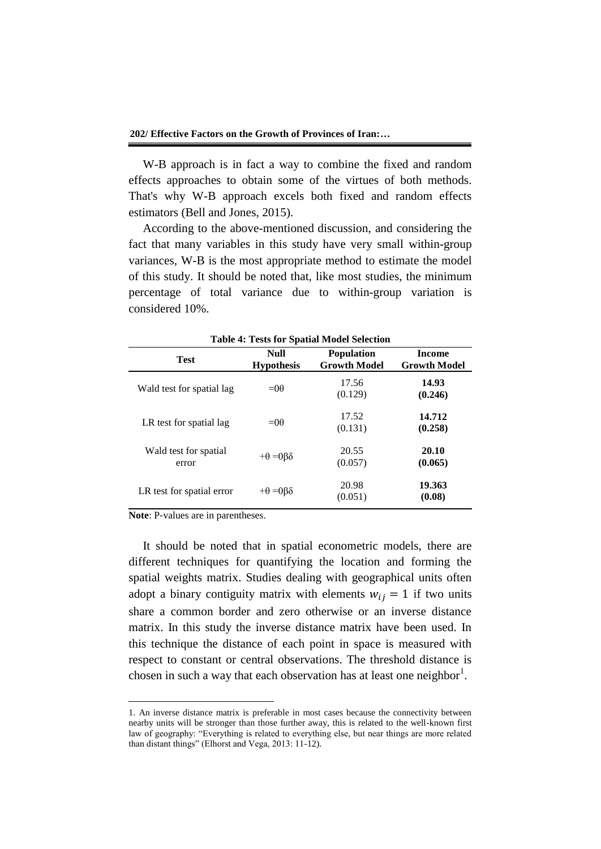W-B approach is in fact a way to combine the fixed and random effects approaches to obtain some of the virtues of both methods. That's why W-B approach excels both fixed and random effects estimators (Bell and Jones, 2015).

According to the above-mentioned discussion, and considering the fact that many variables in this study have very small within-group variances, W-B is the most appropriate method to estimate the model of this study. It should be noted that, like most studies, the minimum percentage of total variance due to within-group variation is considered 10%.

| $\sim$ 2000 202 $\sim$ powers 1.2000 20 |                                  |                                          |                                      |  |
|-----------------------------------------|----------------------------------|------------------------------------------|--------------------------------------|--|
| <b>Test</b>                             | <b>Null</b><br><b>Hypothesis</b> | <b>Population</b><br><b>Growth Model</b> | <b>Income</b><br><b>Growth Model</b> |  |
| Wald test for spatial lag               | $= 00$                           | 17.56<br>(0.129)                         | 14.93<br>(0.246)                     |  |
| LR test for spatial lag                 | $= 00$                           | 17.52<br>(0.131)                         | 14.712<br>(0.258)                    |  |
| Wald test for spatial<br>error          | $+\theta = 0\beta\delta$         | 20.55<br>(0.057)                         | 20.10<br>(0.065)                     |  |
| LR test for spatial error               | $+\theta = 0\beta\delta$         | 20.98<br>(0.051)                         | 19.363<br>(0.08)                     |  |

**Table 4: Tests for Spatial Model Selection**

**Note**: P-values are in parentheses.

1

It should be noted that in spatial econometric models, there are different techniques for quantifying the location and forming the spatial weights matrix. Studies dealing with geographical units often adopt a binary contiguity matrix with elements  $w_{ij} = 1$  if two units share a common border and zero otherwise or an inverse distance matrix. In this study the inverse distance matrix have been used. In this technique the distance of each point in space is measured with respect to constant or central observations. The threshold distance is chosen in such a way that each observation has at least one neighbor $^1$ .

<sup>1.</sup> An inverse distance matrix is preferable in most cases because the connectivity between nearby units will be stronger than those further away, this is related to the well-known first law of geography: "Everything is related to everything else, but near things are more related than distant things" (Elhorst and Vega, 2013: 11-12).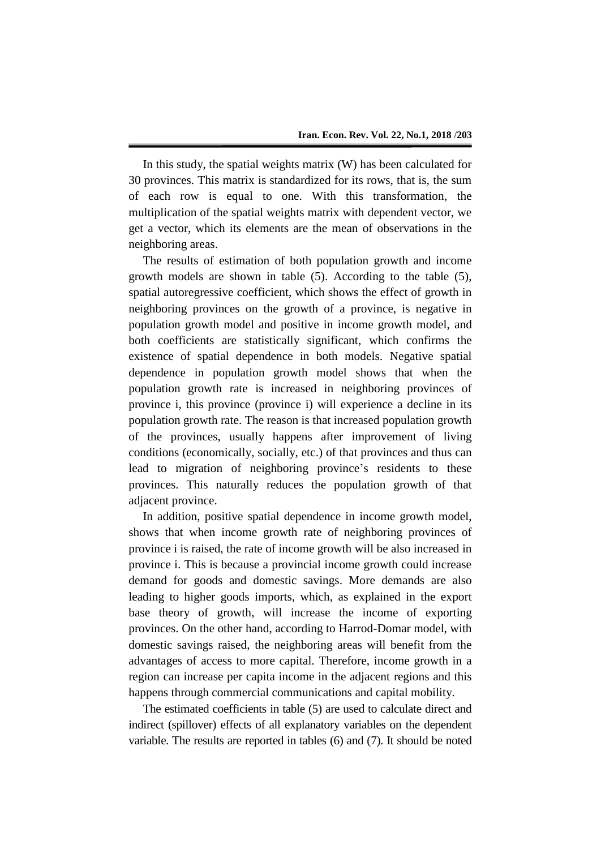In this study, the spatial weights matrix (W) has been calculated for 30 provinces. This matrix is standardized for its rows, that is, the sum of each row is equal to one. With this transformation, the multiplication of the spatial weights matrix with dependent vector, we get a vector, which its elements are the mean of observations in the neighboring areas.

The results of estimation of both population growth and income growth models are shown in table (5). According to the table (5), spatial autoregressive coefficient, which shows the effect of growth in neighboring provinces on the growth of a province, is negative in population growth model and positive in income growth model, and both coefficients are statistically significant, which confirms the existence of spatial dependence in both models. Negative spatial dependence in population growth model shows that when the population growth rate is increased in neighboring provinces of province i, this province (province i) will experience a decline in its population growth rate. The reason is that increased population growth of the provinces, usually happens after improvement of living conditions (economically, socially, etc.) of that provinces and thus can lead to migration of neighboring province's residents to these provinces. This naturally reduces the population growth of that adjacent province.

In addition, positive spatial dependence in income growth model, shows that when income growth rate of neighboring provinces of province i is raised, the rate of income growth will be also increased in province i. This is because a provincial income growth could increase demand for goods and domestic savings. More demands are also leading to higher goods imports, which, as explained in the export base theory of growth, will increase the income of exporting provinces. On the other hand, according to Harrod-Domar model, with domestic savings raised, the neighboring areas will benefit from the advantages of access to more capital. Therefore, income growth in a region can increase per capita income in the adjacent regions and this happens through commercial communications and capital mobility.

The estimated coefficients in table (5) are used to calculate direct and indirect (spillover) effects of all explanatory variables on the dependent variable. The results are reported in tables (6) and (7). It should be noted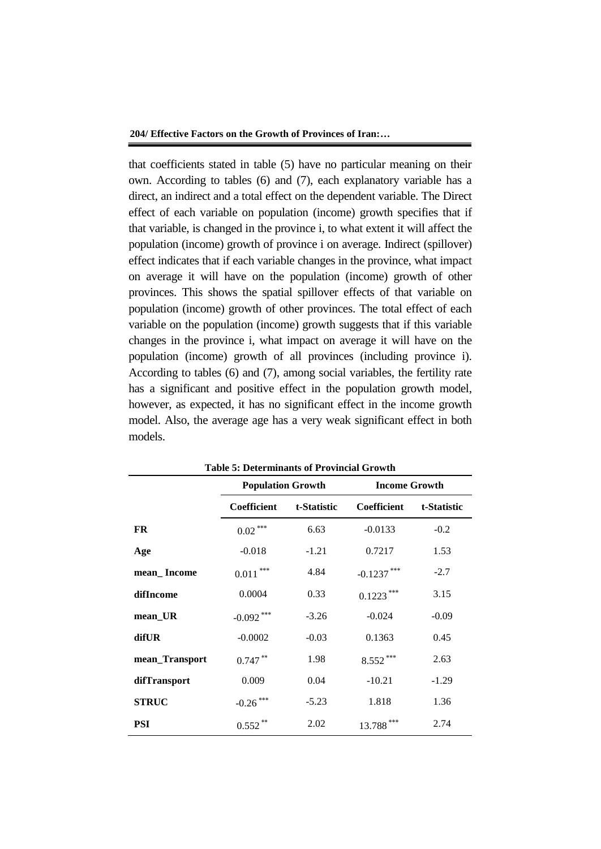that coefficients stated in table (5) have no particular meaning on their own. According to tables (6) and (7), each explanatory variable has a direct, an indirect and a total effect on the dependent variable. The Direct effect of each variable on population (income) growth specifies that if that variable, is changed in the province i, to what extent it will affect the population (income) growth of province i on average. Indirect (spillover) effect indicates that if each variable changes in the province, what impact on average it will have on the population (income) growth of other provinces. This shows the spatial spillover effects of that variable on population (income) growth of other provinces. The total effect of each variable on the population (income) growth suggests that if this variable changes in the province i, what impact on average it will have on the population (income) growth of all provinces (including province i). According to tables (6) and (7), among social variables, the fertility rate has a significant and positive effect in the population growth model, however, as expected, it has no significant effect in the income growth model. Also, the average age has a very weak significant effect in both models.

| Table 5: Determinants of Provincial Growth |                          |             |                            |         |  |
|--------------------------------------------|--------------------------|-------------|----------------------------|---------|--|
|                                            | <b>Population Growth</b> |             | <b>Income Growth</b>       |         |  |
|                                            | <b>Coefficient</b>       | t-Statistic | Coefficient<br>t-Statistic |         |  |
| <b>FR</b>                                  | $0.02***$                | 6.63        | $-0.0133$                  | $-0.2$  |  |
| Age                                        | $-0.018$                 | $-1.21$     | 0.7217                     | 1.53    |  |
| mean_Income                                | ***<br>0.011             | 4.84        | $-0.1237$                  | $-2.7$  |  |
| difIncome                                  | 0.0004                   | 0.33        | $0.1223$ ***               | 3.15    |  |
| mean_UR                                    | $-0.092$ ***             | $-3.26$     | $-0.024$                   | $-0.09$ |  |
| difUR                                      | $-0.0002$                | $-0.03$     | 0.1363                     | 0.45    |  |
| mean_Transport                             | $0.747$ **               | 1.98        | $8.552***$                 | 2.63    |  |
| difTransport                               | 0.009                    | 0.04        | $-10.21$                   | $-1.29$ |  |
| <b>STRUC</b>                               | $-0.26$ ***              | $-5.23$     | 1.818                      | 1.36    |  |
| PSI                                        | 0.552                    | 2.02        | 13.788                     | 2.74    |  |

**Table 5: Determinants of Provincial Growth**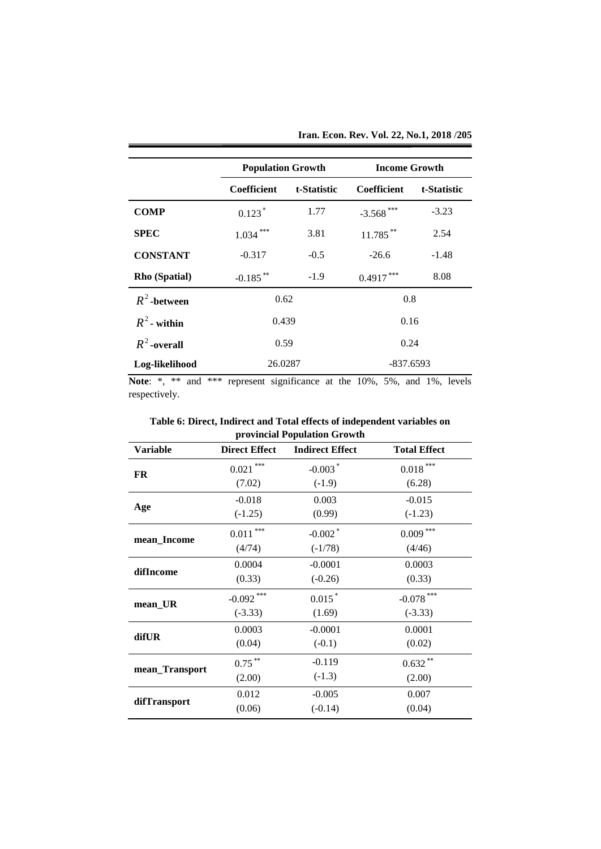|  | Iran. Econ. Rev. Vol. 22, No.1, 2018 /205 |
|--|-------------------------------------------|
|  |                                           |

|                 | <b>Population Growth</b> |             | <b>Income Growth</b> |             |
|-----------------|--------------------------|-------------|----------------------|-------------|
|                 | <b>Coefficient</b>       | t-Statistic | Coefficient          | t-Statistic |
| <b>COMP</b>     | $0.123*$                 | 1.77        | $-3.568$ ***         | $-3.23$     |
| <b>SPEC</b>     | $1.034$ ***              | 3.81        | 11.785**             | 2.54        |
| <b>CONSTANT</b> | $-0.317$                 | $-0.5$      | $-26.6$              | $-1.48$     |
| Rho (Spatial)   | $-0.185$ **              | $-1.9$      | 0.4917               | 8.08        |
| $R^2$ -between  | 0.62                     |             | 0.8                  |             |
| $R^2$ - within  | 0.439                    |             | 0.16                 |             |
| $R^2$ -overall  | 0.59                     | 0.24        |                      |             |
| Log-likelihood  | 26.0287                  |             | $-837.6593$          |             |

**Note**: \*, \*\* and \*\*\* represent significance at the 10%, 5%, and 1%, levels respectively.

|                          | provincial Population Growth |                     |  |  |  |
|--------------------------|------------------------------|---------------------|--|--|--|
| <b>Direct Effect</b>     | <b>Indirect Effect</b>       | <b>Total Effect</b> |  |  |  |
| $0.021$ ***              | $-0.003$ <sup>*</sup>        | $0.018$ ***         |  |  |  |
| (7.02)                   | $(-1.9)$                     | (6.28)              |  |  |  |
| $-0.018$                 | 0.003                        | $-0.015$            |  |  |  |
| $(-1.25)$                | (0.99)                       | $(-1.23)$           |  |  |  |
| $0.011\,^{\ast\ast\ast}$ | $-0.002$ <sup>*</sup>        | $0.009$ ***         |  |  |  |
| (4/74)                   | $(-1/78)$                    | (4/46)              |  |  |  |
| 0.0004                   | $-0.0001$                    | 0.0003              |  |  |  |
| (0.33)                   | $(-0.26)$                    | (0.33)              |  |  |  |
| $-0.092$ ***             | $0.015$ <sup>*</sup>         | $-0.078$ ***        |  |  |  |
| $(-3.33)$                | (1.69)                       | $(-3.33)$           |  |  |  |
| 0.0003                   | $-0.0001$                    | 0.0001              |  |  |  |
| (0.04)                   | $(-0.1)$                     | (0.02)              |  |  |  |
| $0.75$ **                | $-0.119$                     | $0.632$ **          |  |  |  |
| (2.00)                   | $(-1.3)$                     | (2.00)              |  |  |  |
| 0.012                    | $-0.005$                     | 0.007               |  |  |  |
| (0.06)                   | $(-0.14)$                    | (0.04)              |  |  |  |
|                          |                              |                     |  |  |  |

**Table 6: Direct, Indirect and Total effects of independent variables on**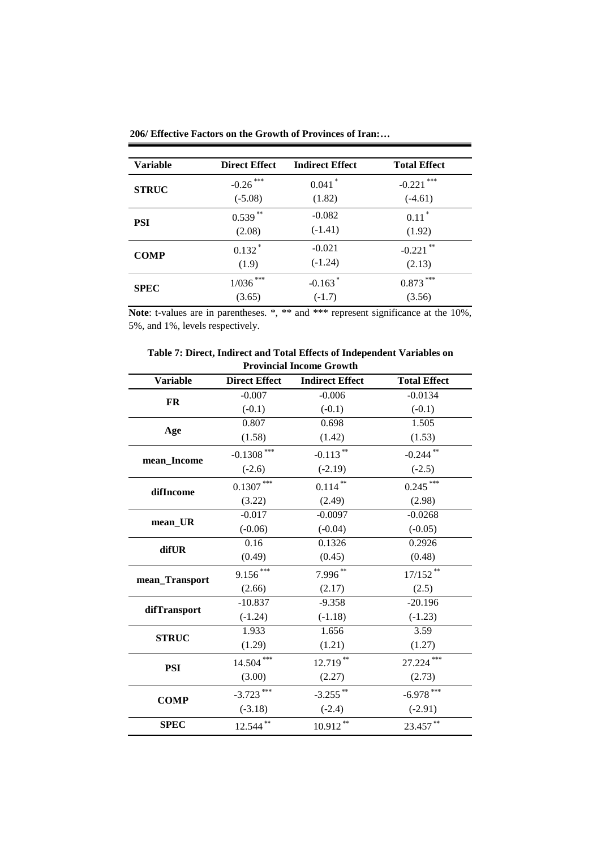| Variable     | <b>Direct Effect</b> | <b>Indirect Effect</b> | <b>Total Effect</b> |
|--------------|----------------------|------------------------|---------------------|
| <b>STRUC</b> | ***<br>$-0.26$       | $0.041$ <sup>*</sup>   | ***<br>$-0.221$     |
|              | $(-5.08)$            | (1.82)                 | $(-4.61)$           |
| PSI          | $0.539***$           | $-0.082$               | $0.11*$             |
|              | (2.08)               | $(-1.41)$              | (1.92)              |
|              | $0.132*$             | $-0.021$               | $-0.221$ **         |
| <b>COMP</b>  | (1.9)                | $(-1.24)$              | (2.13)              |
|              | $1/036$ ***          | $-0.163$ <sup>*</sup>  | ***<br>0.873        |
| <b>SPEC</b>  | (3.65)               | $(-1.7)$               | (3.56)              |

**206/ Effective Factors on the Growth of Provinces of Iran:…**

Note: t-values are in parentheses. \*, \*\* and \*\*\* represent significance at the 10%, 5%, and 1%, levels respectively.

| Table 7: Direct, Indirect and Total Effects of Independent Variables on |
|-------------------------------------------------------------------------|
| <b>Provincial Income Growth</b>                                         |

| <b>Variable</b> | <b>Direct Effect</b> | <b>Indirect Effect</b> | <b>Total Effect</b> |
|-----------------|----------------------|------------------------|---------------------|
| <b>FR</b>       | $-0.007$             | $-0.006$               | $-0.0134$           |
|                 | $(-0.1)$             | $(-0.1)$               | $(-0.1)$            |
|                 | 0.807                | 0.698                  | 1.505               |
| Age             | (1.58)               | (1.42)                 | (1.53)              |
| mean_Income     | $-0.1308$ ***        | $-0.113$ **            | $-0.244$ **         |
|                 | $(-2.6)$             | $(-2.19)$              | $(-2.5)$            |
| difIncome       | $0.1307***$          | $0.114***$             | $0.245$ ***         |
|                 | (3.22)               | (2.49)                 | (2.98)              |
|                 | $-0.017$             | $-0.0097$              | $-0.0268$           |
| mean_UR         | $(-0.06)$            | $(-0.04)$              | $(-0.05)$           |
| difUR           | 0.16                 | 0.1326                 | 0.2926              |
|                 | (0.49)               | (0.45)                 | (0.48)              |
| mean_Transport  | $9.156***$           | 7.996**                | $17/152$ **         |
|                 | (2.66)               | (2.17)                 | (2.5)               |
|                 | $-10.837$            | $-9.358$               | $-20.196$           |
| difTransport    | $(-1.24)$            | $(-1.18)$              | $(-1.23)$           |
| <b>STRUC</b>    | 1.933                | 1.656                  | 3.59                |
|                 | (1.29)               | (1.21)                 | (1.27)              |
| <b>PSI</b>      | $14.504***$          | 12.719**               | 27.224***           |
|                 | (3.00)               | (2.27)                 | (2.73)              |
| <b>COMP</b>     | $-3.723$ ***         | $-3.255$ **            | $-6.978$ ***        |
|                 | $(-3.18)$            | $(-2.4)$               | $(-2.91)$           |
| <b>SPEC</b>     | 12.544**             | $10.912**$             | 23.457**            |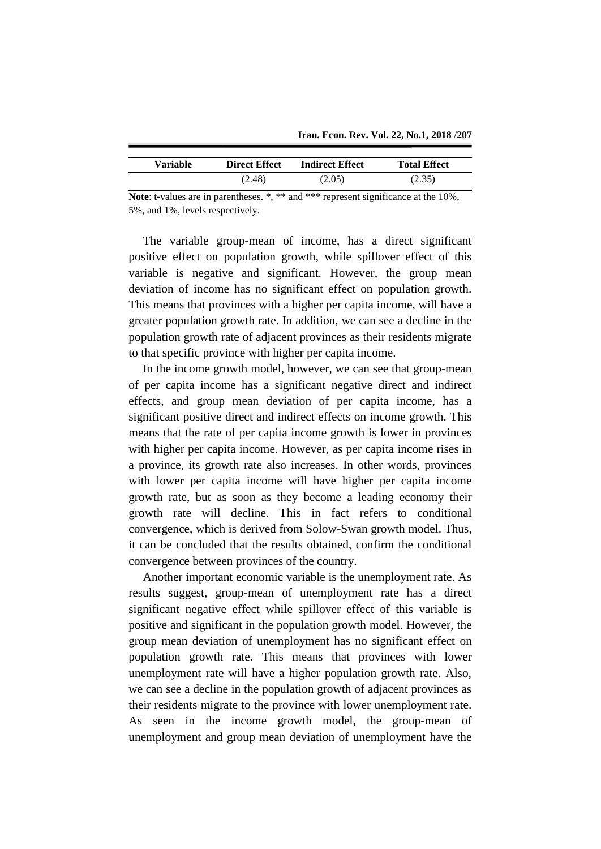| <b>Variable</b> | <b>Direct Effect</b> | <b>Indirect Effect</b> | <b>Total Effect</b> |
|-----------------|----------------------|------------------------|---------------------|
|                 | (2.48)               | (2.05)                 | (2.35)              |

**Note**: t-values are in parentheses. \*, \*\* and \*\*\* represent significance at the 10%, 5%, and 1%, levels respectively.

The variable group-mean of income, has a direct significant positive effect on population growth, while spillover effect of this variable is negative and significant. However, the group mean deviation of income has no significant effect on population growth. This means that provinces with a higher per capita income, will have a greater population growth rate. In addition, we can see a decline in the population growth rate of adjacent provinces as their residents migrate to that specific province with higher per capita income.

In the income growth model, however, we can see that group-mean of per capita income has a significant negative direct and indirect effects, and group mean deviation of per capita income, has a significant positive direct and indirect effects on income growth. This means that the rate of per capita income growth is lower in provinces with higher per capita income. However, as per capita income rises in a province, its growth rate also increases. In other words, provinces with lower per capita income will have higher per capita income growth rate, but as soon as they become a leading economy their growth rate will decline. This in fact refers to conditional convergence, which is derived from Solow-Swan growth model. Thus, it can be concluded that the results obtained, confirm the conditional convergence between provinces of the country.

Another important economic variable is the unemployment rate. As results suggest, group-mean of unemployment rate has a direct significant negative effect while spillover effect of this variable is positive and significant in the population growth model. However, the group mean deviation of unemployment has no significant effect on population growth rate. This means that provinces with lower unemployment rate will have a higher population growth rate. Also, we can see a decline in the population growth of adjacent provinces as their residents migrate to the province with lower unemployment rate. As seen in the income growth model, the group-mean of unemployment and group mean deviation of unemployment have the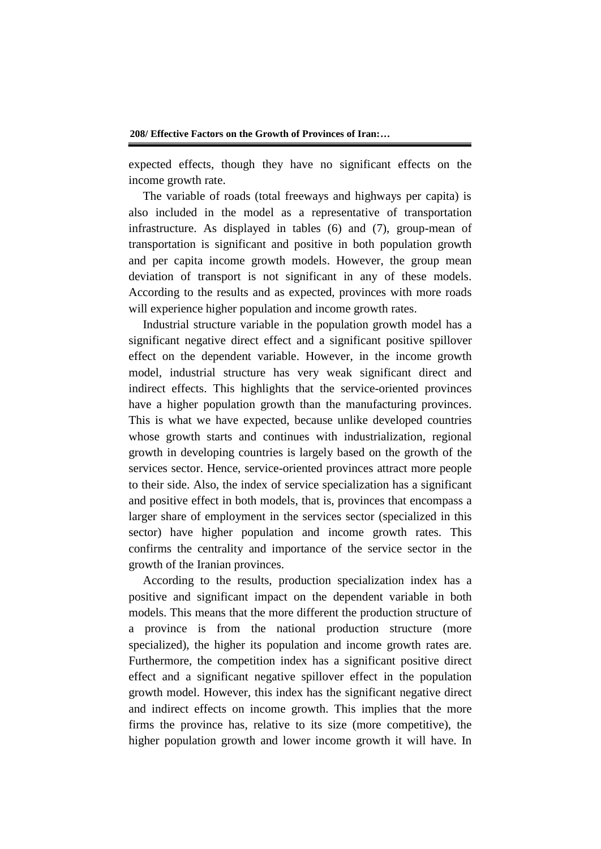expected effects, though they have no significant effects on the income growth rate.

The variable of roads (total freeways and highways per capita) is also included in the model as a representative of transportation infrastructure. As displayed in tables (6) and (7), group-mean of transportation is significant and positive in both population growth and per capita income growth models. However, the group mean deviation of transport is not significant in any of these models. According to the results and as expected, provinces with more roads will experience higher population and income growth rates.

Industrial structure variable in the population growth model has a significant negative direct effect and a significant positive spillover effect on the dependent variable. However, in the income growth model, industrial structure has very weak significant direct and indirect effects. This highlights that the service-oriented provinces have a higher population growth than the manufacturing provinces. This is what we have expected, because unlike developed countries whose growth starts and continues with industrialization, regional growth in developing countries is largely based on the growth of the services sector. Hence, service-oriented provinces attract more people to their side. Also, the index of service specialization has a significant and positive effect in both models, that is, provinces that encompass a larger share of employment in the services sector (specialized in this sector) have higher population and income growth rates. This confirms the centrality and importance of the service sector in the growth of the Iranian provinces.

According to the results, production specialization index has a positive and significant impact on the dependent variable in both models. This means that the more different the production structure of a province is from the national production structure (more specialized), the higher its population and income growth rates are. Furthermore, the competition index has a significant positive direct effect and a significant negative spillover effect in the population growth model. However, this index has the significant negative direct and indirect effects on income growth. This implies that the more firms the province has, relative to its size (more competitive), the higher population growth and lower income growth it will have. In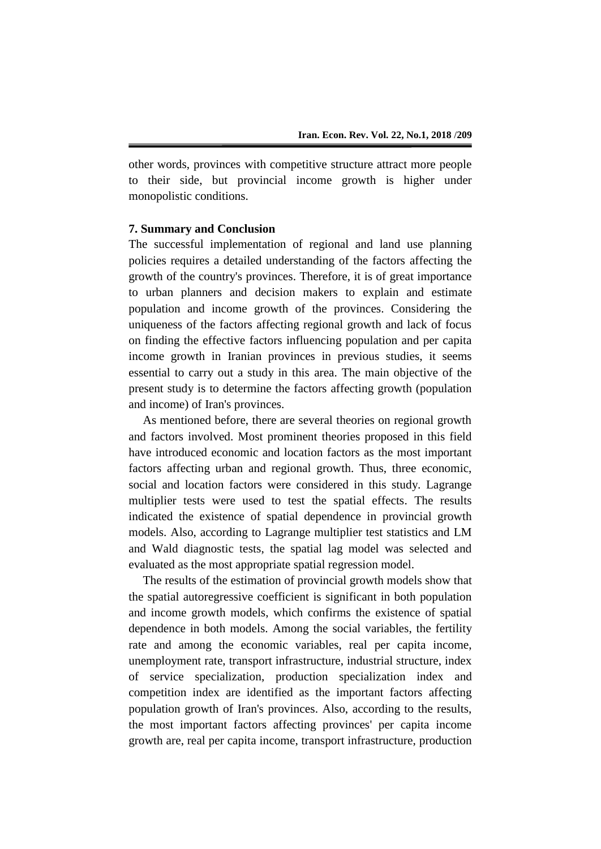other words, provinces with competitive structure attract more people to their side, but provincial income growth is higher under monopolistic conditions.

# **7. Summary and Conclusion**

The successful implementation of regional and land use planning policies requires a detailed understanding of the factors affecting the growth of the country's provinces. Therefore, it is of great importance to urban planners and decision makers to explain and estimate population and income growth of the provinces. Considering the uniqueness of the factors affecting regional growth and lack of focus on finding the effective factors influencing population and per capita income growth in Iranian provinces in previous studies, it seems essential to carry out a study in this area. The main objective of the present study is to determine the factors affecting growth (population and income) of Iran's provinces.

As mentioned before, there are several theories on regional growth and factors involved. Most prominent theories proposed in this field have introduced economic and location factors as the most important factors affecting urban and regional growth. Thus, three economic, social and location factors were considered in this study. Lagrange multiplier tests were used to test the spatial effects. The results indicated the existence of spatial dependence in provincial growth models. Also, according to Lagrange multiplier test statistics and LM and Wald diagnostic tests, the spatial lag model was selected and evaluated as the most appropriate spatial regression model.

The results of the estimation of provincial growth models show that the spatial autoregressive coefficient is significant in both population and income growth models, which confirms the existence of spatial dependence in both models. Among the social variables, the fertility rate and among the economic variables, real per capita income, unemployment rate, transport infrastructure, industrial structure, index of service specialization, production specialization index and competition index are identified as the important factors affecting population growth of Iran's provinces. Also, according to the results, the most important factors affecting provinces' per capita income growth are, real per capita income, transport infrastructure, production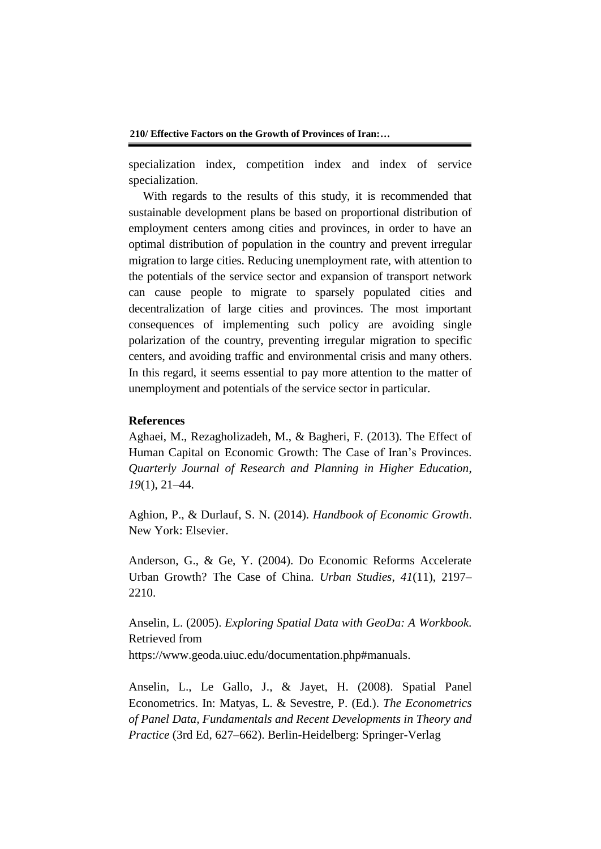specialization index, competition index and index of service specialization.

With regards to the results of this study, it is recommended that sustainable development plans be based on proportional distribution of employment centers among cities and provinces, in order to have an optimal distribution of population in the country and prevent irregular migration to large cities. Reducing unemployment rate, with attention to the potentials of the service sector and expansion of transport network can cause people to migrate to sparsely populated cities and decentralization of large cities and provinces. The most important consequences of implementing such policy are avoiding single polarization of the country, preventing irregular migration to specific centers, and avoiding traffic and environmental crisis and many others. In this regard, it seems essential to pay more attention to the matter of unemployment and potentials of the service sector in particular.

# **References**

Aghaei, M., Rezagholizadeh, M., & Bagheri, F. (2013). The Effect of Human Capital on Economic Growth: The Case of Iran's Provinces. *Quarterly Journal of Research and Planning in Higher Education*, *19*(1), 21–44.

Aghion, P., & Durlauf, S. N. (2014). *Handbook of Economic Growth*. New York: Elsevier.

Anderson, G., & Ge, Y. (2004). Do Economic Reforms Accelerate Urban Growth? The Case of China. *Urban Studies*, *41*(11), 2197– 2210.

Anselin, L. (2005). *Exploring Spatial Data with GeoDa: A Workbook*. Retrieved from https://www.geoda.uiuc.edu/documentation.php#manuals.

Anselin, L., Le Gallo, J., & Jayet, H. (2008). Spatial Panel Econometrics. In: Matyas, L. & Sevestre, P. (Ed.). *The Econometrics of Panel Data, Fundamentals and Recent Developments in Theory and Practice* (3rd Ed, 627–662). Berlin-Heidelberg: Springer-Verlag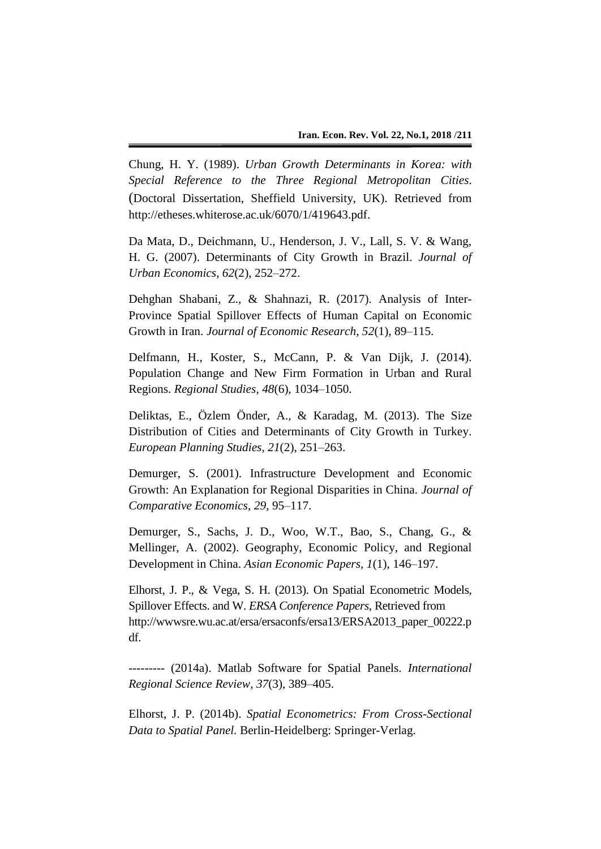Chung, H. Y. (1989). *Urban Growth Determinants in Korea: with Special Reference to the Three Regional Metropolitan Cities*. (Doctoral Dissertation, Sheffield University, UK). Retrieved from http://etheses.whiterose.ac.uk/6070/1/419643.pdf.

Da Mata, D., Deichmann, U., Henderson, J. V., Lall, S. V. & Wang, H. G. (2007). Determinants of City Growth in Brazil. *Journal of Urban Economics*, *62*(2), 252–272.

Dehghan Shabani, Z., & Shahnazi, R. (2017). Analysis of Inter-Province Spatial Spillover Effects of Human Capital on Economic Growth in Iran. *Journal of Economic Research*, *52*(1), 89–115.

Delfmann, H., Koster, S., McCann, P. & Van Dijk, J. (2014). Population Change and New Firm Formation in Urban and Rural Regions. *Regional Studies*, *48*(6), 1034–1050.

Deliktas, E., Özlem Önder, A., & Karadag, M. (2013). The Size Distribution of Cities and Determinants of City Growth in Turkey. *European Planning Studies*, *21*(2), 251–263.

Demurger, S. (2001). Infrastructure Development and Economic Growth: An Explanation for Regional Disparities in China. *Journal of Comparative Economics*, *29*, 95–117.

Demurger, S., Sachs, J. D., Woo, W.T., Bao, S., Chang, G., & Mellinger, A. (2002). Geography, Economic Policy, and Regional Development in China. *Asian Economic Papers, 1*(1), 146–197.

Elhorst, J. P., & Vega, S. H. (2013). On Spatial Econometric Models, Spillover Effects. and W. *ERSA Conference Papers*, Retrieved from http://wwwsre.wu.ac.at/ersa/ersaconfs/ersa13/ERSA2013\_paper\_00222.p df.

--------- (2014a). Matlab Software for Spatial Panels. *International Regional Science Review*, *37*(3), 389–405.

Elhorst, J. P. (2014b). *Spatial Econometrics: From Cross-Sectional Data to Spatial Panel.* Berlin-Heidelberg: Springer-Verlag.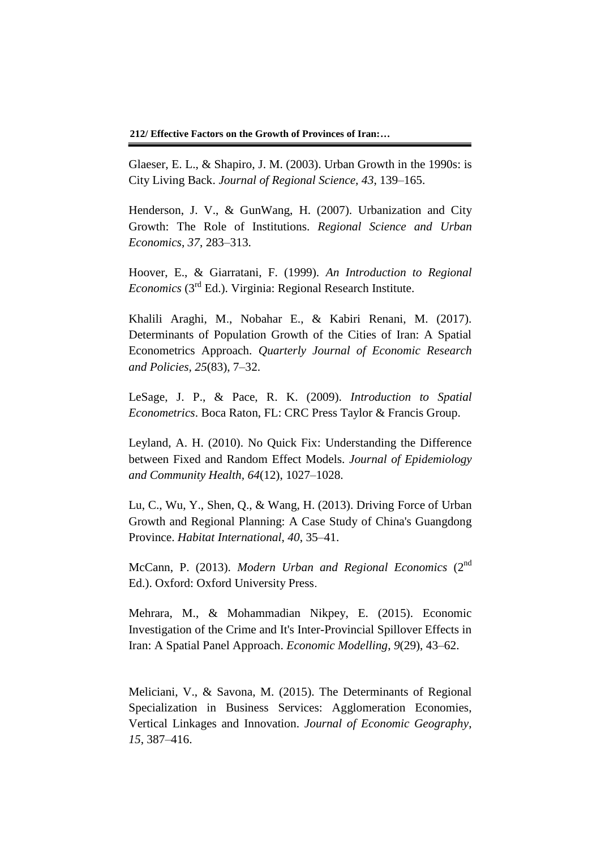Glaeser, E. L., & Shapiro, J. M. (2003). Urban Growth in the 1990s: is City Living Back. *Journal of Regional Science, 43*, 139–165.

Henderson, J. V., & GunWang, H. (2007). Urbanization and City Growth: The Role of Institutions. *Regional Science and Urban Economics*, *37*, 283–313.

Hoover, E., & Giarratani, F. (1999). *An Introduction to Regional*  Economics (3<sup>rd</sup> Ed.). Virginia: Regional Research Institute.

Khalili Araghi, M., Nobahar E., & Kabiri Renani, M. (2017). Determinants of Population Growth of the Cities of Iran: A Spatial Econometrics Approach. *Quarterly Journal of Economic Research and Policies, 25*(83), 7–32.

LeSage, J. P., & Pace, R. K. (2009). *Introduction to Spatial Econometrics*. Boca Raton, FL: CRC Press Taylor & Francis Group.

Leyland, A. H. (2010). No Quick Fix: Understanding the Difference between Fixed and Random Effect Models. *Journal of Epidemiology and Community Health, 64*(12), 1027–1028.

Lu, C., Wu, Y., Shen, Q., & Wang, H. (2013). Driving Force of Urban Growth and Regional Planning: A Case Study of China's Guangdong Province. *Habitat International*, *40*, 35–41.

McCann, P. (2013). *Modern Urban and Regional Economics* (2<sup>nd</sup> Ed.). Oxford: Oxford University Press.

Mehrara, M., & Mohammadian Nikpey, E. (2015). Economic Investigation of the Crime and It's Inter-Provincial Spillover Effects in Iran: A Spatial Panel Approach. *Economic Modelling*, *9*(29), 43–62.

Meliciani, V., & Savona, M. (2015). The Determinants of Regional Specialization in Business Services: Agglomeration Economies, Vertical Linkages and Innovation. *Journal of Economic Geography*, *15*, 387–416.